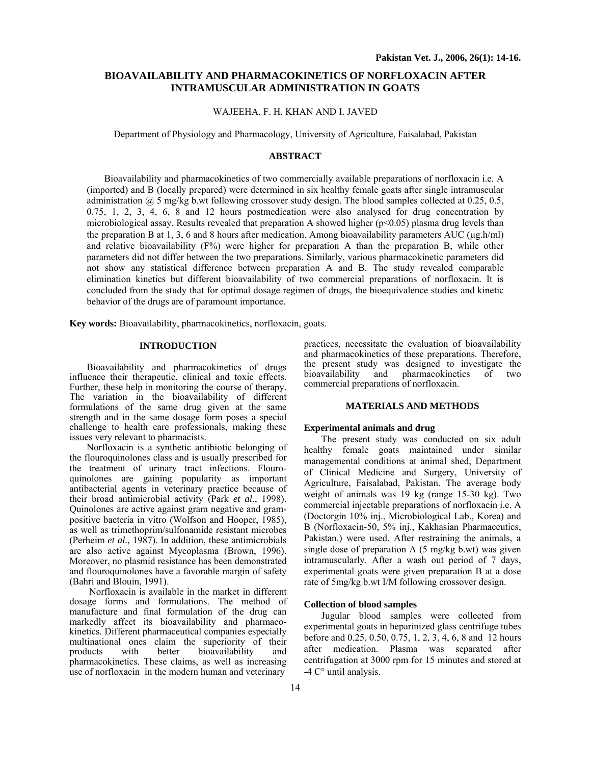# **BIOAVAILABILITY AND PHARMACOKINETICS OF NORFLOXACIN AFTER INTRAMUSCULAR ADMINISTRATION IN GOATS**

## WAJEEHA, F. H. KHAN AND I. JAVED

Department of Physiology and Pharmacology, University of Agriculture, Faisalabad, Pakistan

## **ABSTRACT**

Bioavailability and pharmacokinetics of two commercially available preparations of norfloxacin i.e. A (imported) and B (locally prepared) were determined in six healthy female goats after single intramuscular administration  $\omega$  5 mg/kg b.wt following crossover study design. The blood samples collected at 0.25, 0.5, 0.75, 1, 2, 3, 4, 6, 8 and 12 hours postmedication were also analysed for drug concentration by microbiological assay. Results revealed that preparation A showed higher ( $p<0.05$ ) plasma drug levels than the preparation B at 1, 3, 6 and 8 hours after medication. Among bioavailability parameters AUC ( $\mu$ g.h/ml) and relative bioavailability  $(F%)$  were higher for preparation A than the preparation B, while other parameters did not differ between the two preparations. Similarly, various pharmacokinetic parameters did not show any statistical difference between preparation A and B. The study revealed comparable elimination kinetics but different bioavailability of two commercial preparations of norfloxacin. It is concluded from the study that for optimal dosage regimen of drugs, the bioequivalence studies and kinetic behavior of the drugs are of paramount importance.

**Key words:** Bioavailability, pharmacokinetics, norfloxacin, goats.

# **INTRODUCTION**

Bioavailability and pharmacokinetics of drugs influence their therapeutic, clinical and toxic effects. Further, these help in monitoring the course of therapy. The variation in the bioavailability of different formulations of the same drug given at the same strength and in the same dosage form poses a special challenge to health care professionals, making these issues very relevant to pharmacists.

Norfloxacin is a synthetic antibiotic belonging of the flouroquinolones class and is usually prescribed for the treatment of urinary tract infections. Flouroquinolones are gaining popularity as important antibacterial agents in veterinary practice because of their broad antimicrobial activity (Park *et al*., 1998). Quinolones are active against gram negative and grampositive bacteria in vitro (Wolfson and Hooper, 1985), as well as trimethoprim/sulfonamide resistant microbes (Perheim *et al.,* 1987). In addition, these antimicrobials are also active against Mycoplasma (Brown, 1996). Moreover, no plasmid resistance has been demonstrated and flouroquinolones have a favorable margin of safety (Bahri and Blouin, 1991).

Norfloxacin is available in the market in different dosage forms and formulations. The method of manufacture and final formulation of the drug can markedly affect its bioavailability and pharmacokinetics. Different pharmaceutical companies especially multinational ones claim the superiority of their products with better bioavailability and pharmacokinetics. These claims, as well as increasing use of norfloxacin in the modern human and veterinary

practices, necessitate the evaluation of bioavailability and pharmacokinetics of these preparations. Therefore, the present study was designed to investigate the bioavailability and pharmacokinetics of two commercial preparations of norfloxacin.

## **MATERIALS AND METHODS**

#### **Experimental animals and drug**

The present study was conducted on six adult healthy female goats maintained under similar managemental conditions at animal shed, Department of Clinical Medicine and Surgery, University of Agriculture, Faisalabad, Pakistan. The average body weight of animals was 19 kg (range 15-30 kg). Two commercial injectable preparations of norfloxacin i.e. A (Doctorgin 10% inj., Microbiological Lab., Korea) and B (Norfloxacin-50, 5% inj., Kakhasian Pharmaceutics, Pakistan.) were used. After restraining the animals, a single dose of preparation A (5 mg/kg b.wt) was given intramuscularly. After a wash out period of 7 days, experimental goats were given preparation B at a dose rate of 5mg/kg b.wt I/M following crossover design.

## **Collection of blood samples**

Jugular blood samples were collected from experimental goats in heparinized glass centrifuge tubes before and 0.25, 0.50, 0.75, 1, 2, 3, 4, 6, 8 and 12 hours after medication. Plasma was separated after centrifugation at 3000 rpm for 15 minutes and stored at -4 C° until analysis.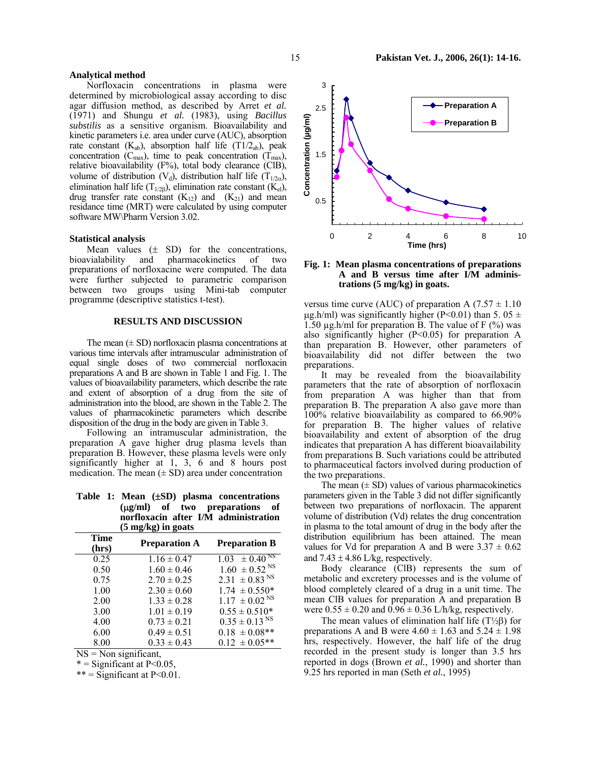### **Analytical method**

Norfloxacin concentrations in plasma were determined by microbiological assay according to disc agar diffusion method, as described by Arret *et al.* (1971) and Shungu *et al.* (1983), using *Bacillus substilis* as a sensitive organism. Bioavailability and kinetic parameters i.e. area under curve (AUC), absorption rate constant  $(K_{ab})$ , absorption half life  $(T1/2_{ab})$ , peak concentration ( $C_{\text{max}}$ ), time to peak concentration ( $T_{\text{max}}$ ), relative bioavailability (F%), total body clearance (ClB), volume of distribution (V<sub>d</sub>), distribution half life (T<sub>1/2α</sub>), elimination half life (T<sub>1/2β</sub>), elimination rate constant (K<sub>el</sub>), drug transfer rate constant  $(K_{12})$  and  $(K_{21})$  and mean residance time (MRT) were calculated by using computer software MW\Pharm Version 3.02.

#### **Statistical analysis**

Mean values  $(\pm$  SD) for the concentrations, bioavialability and pharmacokinetics of two preparations of norfloxacine were computed. The data were further subjected to parametric comparison between two groups using Mini-tab computer programme (descriptive statistics t-test).

### **RESULTS AND DISCUSSION**

The mean  $(\pm SD)$  norfloxacin plasma concentrations at various time intervals after intramuscular administration of equal single doses of two commercial norfloxacin preparations A and B are shown in Table 1 and Fig. 1. The values of bioavailability parameters, which describe the rate and extent of absorption of a drug from the site of administration into the blood, are shown in the Table 2. The values of pharmacokinetic parameters which describe disposition of the drug in the body are given in Table 3.

Following an intramuscular administration, the preparation A gave higher drug plasma levels than preparation B. However, these plasma levels were only significantly higher at 1, 3, 6 and 8 hours post medication. The mean  $(\pm SD)$  area under concentration

**Table 1: Mean (**±**SD) plasma concentrations (**µ**g/ml) of two preparations of norfloxacin after I/M administration (5 mg/kg) in goats** 

| $(5 \text{ mg/kg})$ in goats |                      |                               |
|------------------------------|----------------------|-------------------------------|
| <b>Time</b><br>(hrs)         | <b>Preparation A</b> | <b>Preparation B</b>          |
| 0.25                         | $1.16 \pm 0.47$      | $1.03 \pm 0.40^{N}$           |
| 0.50                         | $1.60 \pm 0.46$      | $1.60 \pm 0.52$ <sup>NS</sup> |
| 0.75                         | $2.70 \pm 0.25$      | $2.31 \pm 0.83$ <sup>NS</sup> |
| 1.00                         | $2.30 \pm 0.60$      | $1.74 \pm 0.550*$             |
| 2.00                         | $1.33 \pm 0.28$      | $1.17 \pm 0.02$ <sup>NS</sup> |
| 3.00                         | $1.01 \pm 0.19$      | $0.55 \pm 0.510*$             |
| 4.00                         | $0.73 \pm 0.21$      | $0.35 \pm 0.13$ <sup>NS</sup> |
| 6.00                         | $0.49 \pm 0.51$      | $0.18 \pm 0.08**$             |
| 8.00                         | $0.33 \pm 0.43$      | $0.12 \pm 0.05**$             |

 $NS = Non significant,$ 

 $*$  = Significant at P<0.05,

 $***$  = Significant at P<0.01.



## **Fig. 1: Mean plasma concentrations of preparations A and B versus time after I/M administrations (5 mg/kg) in goats.**

versus time curve (AUC) of preparation A  $(7.57 \pm 1.10)$  $\mu$ g.h/ml) was significantly higher (P<0.01) than 5. 05  $\pm$ 1.50  $\mu$ g.h/ml for preparation B. The value of F (%) was also significantly higher (P<0.05) for preparation A than preparation B. However, other parameters of bioavailability did not differ between the two preparations.

It may be revealed from the bioavailability parameters that the rate of absorption of norfloxacin from preparation A was higher than that from preparation B. The preparation A also gave more than 100% relative bioavailability as compared to 66.90% for preparation B. The higher values of relative bioavailability and extent of absorption of the drug indicates that preparation A has different bioavailability from preparations B. Such variations could be attributed to pharmaceutical factors involved during production of the two preparations.

The mean  $(\pm SD)$  values of various pharmacokinetics parameters given in the Table 3 did not differ significantly between two preparations of norfloxacin. The apparent volume of distribution (Vd) relates the drug concentration in plasma to the total amount of drug in the body after the distribution equilibrium has been attained. The mean values for Vd for preparation A and B were  $3.37 \pm 0.62$ and  $7.43 \pm 4.86$  L/kg, respectively.

Body clearance (ClB) represents the sum of metabolic and excretery processes and is the volume of blood completely cleared of a drug in a unit time. The mean ClB values for preparation A and preparation B were  $0.55 \pm 0.20$  and  $0.96 \pm 0.36$  L/h/kg, respectively.

The mean values of elimination half life  $(T\frac{1}{2}\beta)$  for preparations A and B were  $4.60 \pm 1.63$  and  $5.24 \pm 1.98$ hrs, respectively. However, the half life of the drug recorded in the present study is longer than 3.5 hrs reported in dogs (Brown *et al.*, 1990) and shorter than 9.25 hrs reported in man (Seth *et al.*, 1995)